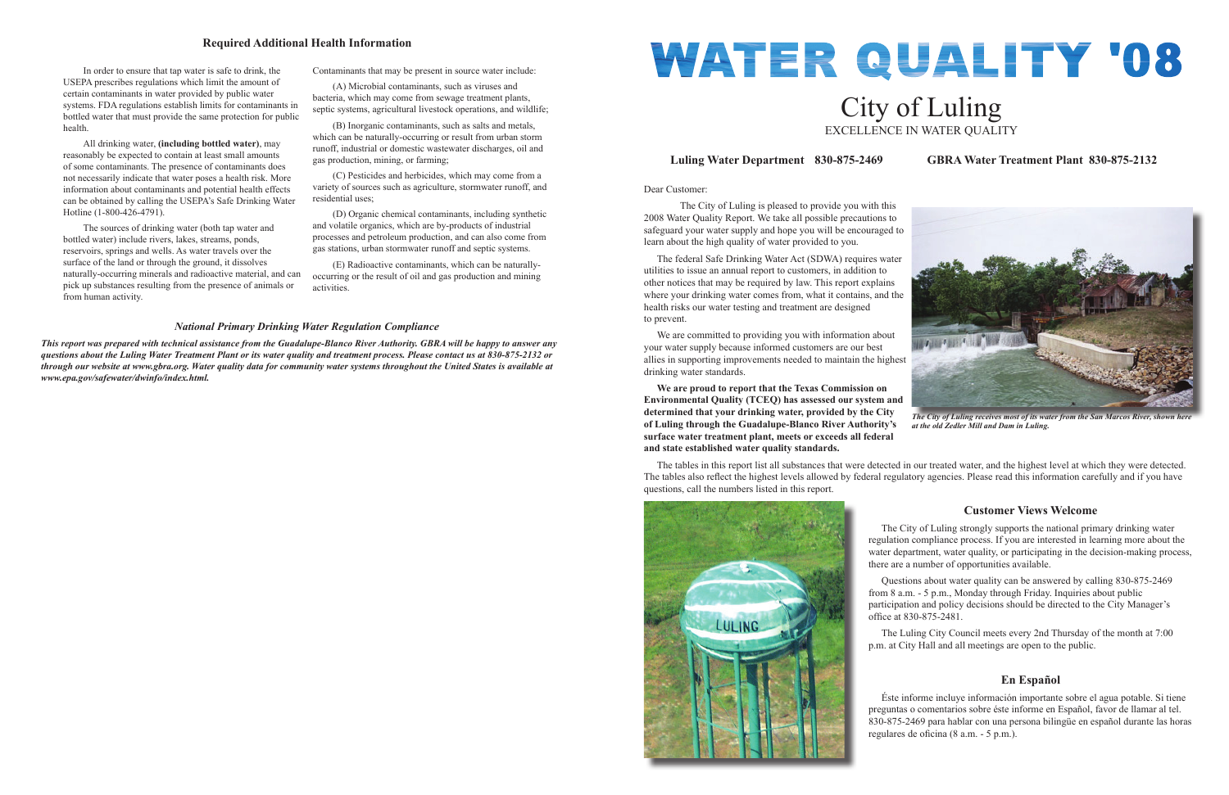Dear Customer:

 The City of Luling is pleased to provide you with this 2008 Water Quality Report. We take all possible precautions to safeguard your water supply and hope you will be encouraged to learn about the high quality of water provided to you.

 The federal Safe Drinking Water Act (SDWA) requires water utilities to issue an annual report to customers, in addition to other notices that may be required by law. This report explains where your drinking water comes from, what it contains, and the health risks our water testing and treatment are designed to prevent.

 We are committed to providing you with information about your water supply because informed customers are our best allies in supporting improvements needed to maintain the highest drinking water standards.

# WATER QUALITY '08 City of Luling EXCELLENCE IN WATER QUALITY

 Questions about water quality can be answered by calling 830-875-2469 from 8 a.m. - 5 p.m., Monday through Friday. Inquiries about public participation and policy decisions should be directed to the City Manager's office at 830-875-2481.

**We are proud to report that the Texas Commission on Environmental Quality (TCEQ) has assessed our system and determined that your drinking water, provided by the City of Luling through the Guadalupe-Blanco River Authority's surface water treatment plant, meets or exceeds all federal and state established water quality standards.**

> Éste informe incluye información importante sobre el agua potable. Si tiene preguntas o comentarios sobre éste informe en Español, favor de llamar al tel. 830-875-2469 para hablar con una persona bilingüe en español durante las horas regulares de oficina (8 a.m. - 5 p.m.).

The tables in this report list all substances that were detected in our treated water, and the highest level at which they were detected. The tables also reflect the highest levels allowed by federal regulatory agencies. Please read this information carefully and if you have questions, call the numbers listed in this report.





*The City of Luling receives most of its water from the San Marcos River, show. at the old Zedler Mill and Dam in Luling.*

# **Luling Water Department 830-875-2469 GBRA Water Treatment Plant 830-875-2132**

# **Customer Views Welcome**

 The City of Luling strongly supports the national primary drinking water regulation compliance process. If you are interested in learning more about the water department, water quality, or participating in the decision-making process, there are a number of opportunities available.

 The Luling City Council meets every 2nd Thursday of the month at 7:00 p.m. at City Hall and all meetings are open to the public.



# **En Español**

 In order to ensure that tap water is safe to drink, the USEPA prescribes regulations which limit the amount of certain contaminants in water provided by public water systems. FDA regulations establish limits for contaminants in bottled water that must provide the same protection for public health.

 All drinking water, **(including bottled water)**, may reasonably be expected to contain at least small amounts of some contaminants. The presence of contaminants does not necessarily indicate that water poses a health risk. More information about contaminants and potential health effects can be obtained by calling the USEPA's Safe Drinking Water Hotline (1-800-426-4791).

 The sources of drinking water (both tap water and bottled water) include rivers, lakes, streams, ponds, reservoirs, springs and wells. As water travels over the surface of the land or through the ground, it dissolves naturally-occurring minerals and radioactive material, and can pick up substances resulting from the presence of animals or from human activity.

Contaminants that may be present in source water include:

 (A) Microbial contaminants, such as viruses and bacteria, which may come from sewage treatment plants, septic systems, agricultural livestock operations, and wildlife;

 (B) Inorganic contaminants, such as salts and metals, which can be naturally-occurring or result from urban storm runoff, industrial or domestic wastewater discharges, oil and gas production, mining, or farming;

 (C) Pesticides and herbicides, which may come from a variety of sources such as agriculture, stormwater runoff, and residential uses;

 (D) Organic chemical contaminants, including synthetic and volatile organics, which are by-products of industrial processes and petroleum production, and can also come from gas stations, urban stormwater runoff and septic systems.

 (E) Radioactive contaminants, which can be naturallyoccurring or the result of oil and gas production and mining activities.

#### **Required Additional Health Information**

#### *National Primary Drinking Water Regulation Compliance*

*This report was prepared with technical assistance from the Guadalupe-Blanco River Authority. GBRA will be happy to answer any questions about the Luling Water Treatment Plant or its water quality and treatment process. Please contact us at 830-875-2132 or through our website at www.gbra.org. Water quality data for community water systems throughout the United States is available at www.epa.gov/safewater/dwinfo/index.html.*